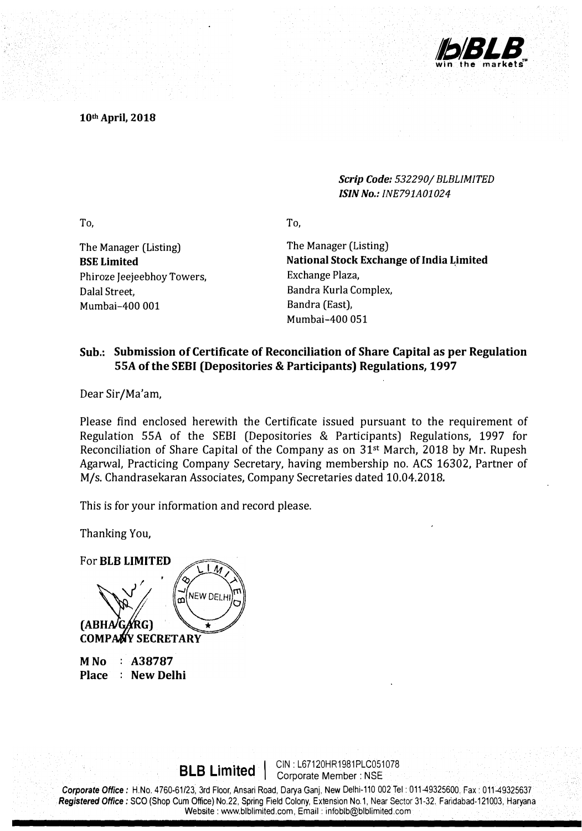

**10th April, 2018** 

*Scrip Code: 532290/ BLBLIMITED /SIN No.: INE791A01024* 

To,

The Manager (Listing) **BSE Limited**  Phiroze Jeejeebhoy Towers, Dalal Street, Mumbai-400 001

The Manager (Listing) **National Stock Exchange of India Limited** Exchange Plaza, Bandra Kurla Complex, Bandra (East), Mumbai-400 051

## **Sub.: Submission of Certificate of Reconciliation of Share Capital as per Regulation SSA of the SEBI (Depositories & Participants) Regulations, 1997**

To,

Dear Sir/Ma'am,

Please find enclosed herewith the Certificate issued pursuant to the requirement of Regulation SSA of the SEBI (Depositories **&** Participants) Regulations, 1997 for Reconciliation of Share Capital of the Company as on **31st** March, **2018** by Mr. Rupesh Agarwal, Practicing Company Secretary, having membership no. ACS **16302,** Partner of M/s. Chandrasekaran Associates, Company Secretaries dated **10.04.2018.** 

This is for your information and record please.

Thanking You,

For **BLB LIMITED NEW DELF**  $(ABHA)$ (RG) **COMPANY SECRETARY** 

**MNo Place New Delhi A38787** 

**BLB Limited** | CIN: L67120HR1981PLC051078

Corporate Office: H.No. 4760-61/23, 3rd Floor, Ansari Road, Darya Ganj, New Delhi-110 002 Tel: 011-49325600. Fax: 011-49325637 *Registered Office:* sco (Shop Cum Office) No.22, Spring Field Colony, Ext� ns1on No.1, �e ar Sector 31-32. Fandabad-121003, Haryana . Website: www.blblimited.com, Email: infoblb@blblimited.com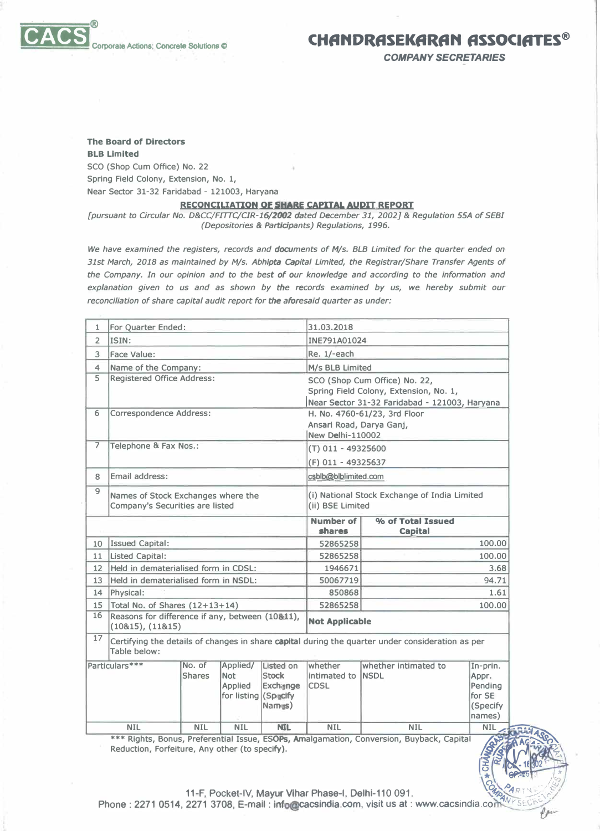*COMPANY SECRETARIES* 

## **The Board of Directors BLB Limited SCO (Shop Cum Office) No. 22 Spring Field Colony, Extension, No. 1, Near Sector 31-32 Faridabad - 121003, Haryana**

## RECONCILIATION OF SHARE CAPITAL AUDIT REPORT

*[pursuant to Circular No. D&CC/FIITC/CIR-16/2()()2 dated December 31, 2002]* **&** *Regulation SSA of SEBI (Depositories & Participants) Regulations, 1996.* 

*We have examined the registers, records and documents of M/s. BLB Limited for the quarter ended on 31st March, 2018 as maintained by M/s. Abhlpta capital Limited, the Registrar/Share Transfer Agents of the Company. In our opinion and to the best of our knowledge and according to the information and*  explanation given to us and as shown by the records examined by us, we hereby submit our *reconciliation of share capital audit report for the aforesaid quarter as under:* 

| INE791A01024<br>$\overline{2}$<br>ISIN:<br>Re. 1/-each<br>3<br>Face Value:<br>Name of the Company:<br>M/s BLB Limited<br>4<br>5<br><b>Registered Office Address:</b><br>SCO (Shop Cum Office) No. 22,<br>Spring Field Colony, Extension, No. 1,<br>Near Sector 31-32 Faridabad - 121003, Haryana<br>6<br><b>Correspondence Address:</b><br>H. No. 4760-61/23, 3rd Floor<br>Ansari Road, Darya Ganj,<br><b>New Delhi-110002</b><br>$\overline{7}$<br>Telephone & Fax Nos.:<br>$(T)$ 011 - 49325600<br>(F) 011 - 49325637<br>Email address:<br>csblb@blblimited.com<br>8<br>9<br>Names of Stock Exchanges where the<br>(i) National Stock Exchange of India Limited<br>Company's Securities are listed<br>(ii) BSE Limited<br><b>Number of</b><br>% of Total Issued<br>shares<br><b>Capital</b><br><b>Issued Capital:</b><br>52865258<br>10<br><b>Listed Capital:</b><br>52865258<br>11<br>Held in dematerialised form in CDSL:<br>12<br>1946671<br>13<br>Held in dematerialised form in NSDL:<br>50067719<br>Physical:<br>14<br>850868<br>Total No. of Shares $(12+13+14)$<br>52865258<br>15<br>16<br>Reasons for difference if any, between (10&11),<br><b>Not Applicable</b><br>(10815), (11815)<br>17<br>Certifying the details of changes in share capital during the quarter under consideration as per<br>Table below:<br>Particulars***<br>Listed on<br>whether<br>whether intimated to<br>No. of<br>Applied/<br>In-prin.<br>Stock<br><b>Shares</b><br><b>Not</b><br>intimated to <b>INSDL</b><br>Appr.<br>Exchange<br>Pending<br>Applied<br><b>CDSL</b> | $\mathbf{1}$ | For Quarter Ended: |  |  |  | 31.03.2018 |        |                |
|----------------------------------------------------------------------------------------------------------------------------------------------------------------------------------------------------------------------------------------------------------------------------------------------------------------------------------------------------------------------------------------------------------------------------------------------------------------------------------------------------------------------------------------------------------------------------------------------------------------------------------------------------------------------------------------------------------------------------------------------------------------------------------------------------------------------------------------------------------------------------------------------------------------------------------------------------------------------------------------------------------------------------------------------------------------------------------------------------------------------------------------------------------------------------------------------------------------------------------------------------------------------------------------------------------------------------------------------------------------------------------------------------------------------------------------------------------------------------------------------------------------------------------------------------------------|--------------|--------------------|--|--|--|------------|--------|----------------|
|                                                                                                                                                                                                                                                                                                                                                                                                                                                                                                                                                                                                                                                                                                                                                                                                                                                                                                                                                                                                                                                                                                                                                                                                                                                                                                                                                                                                                                                                                                                                                                |              |                    |  |  |  |            |        |                |
|                                                                                                                                                                                                                                                                                                                                                                                                                                                                                                                                                                                                                                                                                                                                                                                                                                                                                                                                                                                                                                                                                                                                                                                                                                                                                                                                                                                                                                                                                                                                                                |              |                    |  |  |  |            |        |                |
|                                                                                                                                                                                                                                                                                                                                                                                                                                                                                                                                                                                                                                                                                                                                                                                                                                                                                                                                                                                                                                                                                                                                                                                                                                                                                                                                                                                                                                                                                                                                                                |              |                    |  |  |  |            |        |                |
|                                                                                                                                                                                                                                                                                                                                                                                                                                                                                                                                                                                                                                                                                                                                                                                                                                                                                                                                                                                                                                                                                                                                                                                                                                                                                                                                                                                                                                                                                                                                                                |              |                    |  |  |  |            |        |                |
|                                                                                                                                                                                                                                                                                                                                                                                                                                                                                                                                                                                                                                                                                                                                                                                                                                                                                                                                                                                                                                                                                                                                                                                                                                                                                                                                                                                                                                                                                                                                                                |              |                    |  |  |  |            |        |                |
|                                                                                                                                                                                                                                                                                                                                                                                                                                                                                                                                                                                                                                                                                                                                                                                                                                                                                                                                                                                                                                                                                                                                                                                                                                                                                                                                                                                                                                                                                                                                                                |              |                    |  |  |  |            |        |                |
|                                                                                                                                                                                                                                                                                                                                                                                                                                                                                                                                                                                                                                                                                                                                                                                                                                                                                                                                                                                                                                                                                                                                                                                                                                                                                                                                                                                                                                                                                                                                                                |              |                    |  |  |  |            |        |                |
|                                                                                                                                                                                                                                                                                                                                                                                                                                                                                                                                                                                                                                                                                                                                                                                                                                                                                                                                                                                                                                                                                                                                                                                                                                                                                                                                                                                                                                                                                                                                                                |              |                    |  |  |  |            |        |                |
|                                                                                                                                                                                                                                                                                                                                                                                                                                                                                                                                                                                                                                                                                                                                                                                                                                                                                                                                                                                                                                                                                                                                                                                                                                                                                                                                                                                                                                                                                                                                                                |              |                    |  |  |  |            |        |                |
|                                                                                                                                                                                                                                                                                                                                                                                                                                                                                                                                                                                                                                                                                                                                                                                                                                                                                                                                                                                                                                                                                                                                                                                                                                                                                                                                                                                                                                                                                                                                                                |              |                    |  |  |  |            |        | 100.00         |
|                                                                                                                                                                                                                                                                                                                                                                                                                                                                                                                                                                                                                                                                                                                                                                                                                                                                                                                                                                                                                                                                                                                                                                                                                                                                                                                                                                                                                                                                                                                                                                |              |                    |  |  |  |            | 100.00 |                |
|                                                                                                                                                                                                                                                                                                                                                                                                                                                                                                                                                                                                                                                                                                                                                                                                                                                                                                                                                                                                                                                                                                                                                                                                                                                                                                                                                                                                                                                                                                                                                                |              |                    |  |  |  |            | 3.68   |                |
|                                                                                                                                                                                                                                                                                                                                                                                                                                                                                                                                                                                                                                                                                                                                                                                                                                                                                                                                                                                                                                                                                                                                                                                                                                                                                                                                                                                                                                                                                                                                                                |              |                    |  |  |  |            | 94.71  |                |
|                                                                                                                                                                                                                                                                                                                                                                                                                                                                                                                                                                                                                                                                                                                                                                                                                                                                                                                                                                                                                                                                                                                                                                                                                                                                                                                                                                                                                                                                                                                                                                |              |                    |  |  |  |            | 1.61   |                |
|                                                                                                                                                                                                                                                                                                                                                                                                                                                                                                                                                                                                                                                                                                                                                                                                                                                                                                                                                                                                                                                                                                                                                                                                                                                                                                                                                                                                                                                                                                                                                                |              |                    |  |  |  |            | 100.00 |                |
|                                                                                                                                                                                                                                                                                                                                                                                                                                                                                                                                                                                                                                                                                                                                                                                                                                                                                                                                                                                                                                                                                                                                                                                                                                                                                                                                                                                                                                                                                                                                                                |              |                    |  |  |  |            |        |                |
|                                                                                                                                                                                                                                                                                                                                                                                                                                                                                                                                                                                                                                                                                                                                                                                                                                                                                                                                                                                                                                                                                                                                                                                                                                                                                                                                                                                                                                                                                                                                                                |              |                    |  |  |  |            |        |                |
| for listing (Specify<br>(Specify<br>$N$ ames $)$<br>names)                                                                                                                                                                                                                                                                                                                                                                                                                                                                                                                                                                                                                                                                                                                                                                                                                                                                                                                                                                                                                                                                                                                                                                                                                                                                                                                                                                                                                                                                                                     |              |                    |  |  |  |            |        | for SE         |
| <b>NIL</b><br><b>NIL</b><br><b>NIL</b><br><b>NIL</b><br><b>NIL</b><br><b>NIL</b><br><b>NIL</b>                                                                                                                                                                                                                                                                                                                                                                                                                                                                                                                                                                                                                                                                                                                                                                                                                                                                                                                                                                                                                                                                                                                                                                                                                                                                                                                                                                                                                                                                 |              |                    |  |  |  |            |        | <b>EXTRAIN</b> |

\*\* Rights, Bonus, Preferential Issue, ESOPs, Amalgamation, Conversion, Buyback, Capital **Reduction, Forfeiture, Any other (to specify).** 

 $\frac{1}{2}$   $\frac{1}{2}$   $\frac{1}{2}$   $\frac{1}{2}$   $\frac{1}{2}$   $\frac{1}{2}$   $\frac{1}{2}$   $\frac{1}{2}$   $\frac{1}{2}$   $\frac{1}{2}$   $\frac{1}{2}$   $\frac{1}{2}$   $\frac{1}{2}$   $\frac{1}{2}$   $\frac{1}{2}$   $\frac{1}{2}$   $\frac{1}{2}$   $\frac{1}{2}$   $\frac{1}{2}$   $\frac{1}{2}$   $\frac{1}{2}$   $\frac{1}{2}$